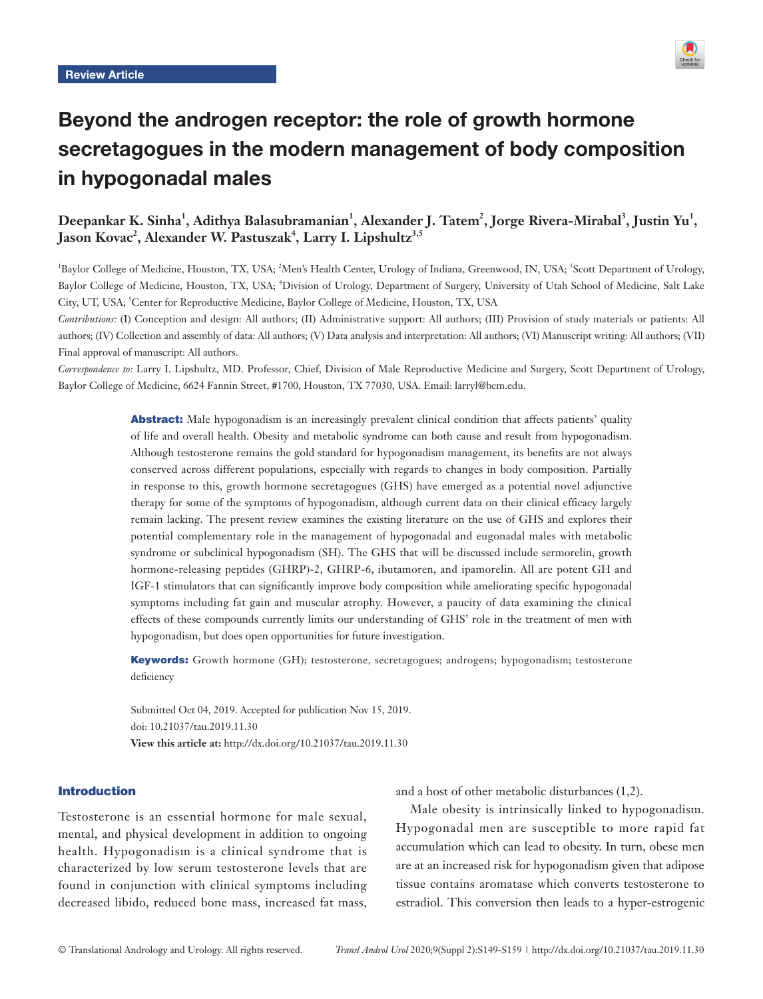

# Beyond the androgen receptor: the role of growth hormone secretagogues in the modern management of body composition in hypogonadal males

# Deepankar K. Sinha<sup>1</sup>, Adithya Balasubramanian<sup>1</sup>, Alexander J. Tatem<sup>2</sup>, Jorge Rivera-Mirabal<sup>3</sup>, Justin Yu<sup>1</sup>, Jason Kovac<sup>2</sup>, Alexander W. Pastuszak<sup>4</sup>, Larry I. Lipshultz<sup>3,5</sup>

<sup>1</sup>Baylor College of Medicine, Houston, TX, USA; <sup>2</sup>Men's Health Center, Urology of Indiana, Greenwood, IN, USA; <sup>3</sup>Scott Department of Urology, Baylor College of Medicine, Houston, TX, USA; <sup>4</sup>Division of Urology, Department of Surgery, University of Utah School of Medicine, Salt Lake City, UT, USA; <sup>5</sup>Center for Reproductive Medicine, Baylor College of Medicine, Houston, TX, USA

*Contributions:* (I) Conception and design: All authors; (II) Administrative support: All authors; (III) Provision of study materials or patients: All authors; (IV) Collection and assembly of data: All authors; (V) Data analysis and interpretation: All authors; (VI) Manuscript writing: All authors; (VII) Final approval of manuscript: All authors.

*Correspondence to:* Larry I. Lipshultz, MD. Professor, Chief, Division of Male Reproductive Medicine and Surgery, Scott Department of Urology, Baylor College of Medicine, 6624 Fannin Street, #1700, Houston, TX 77030, USA. Email: larryl@bcm.edu.

> **Abstract:** Male hypogonadism is an increasingly prevalent clinical condition that affects patients' quality of life and overall health. Obesity and metabolic syndrome can both cause and result from hypogonadism. Although testosterone remains the gold standard for hypogonadism management, its benefits are not always conserved across different populations, especially with regards to changes in body composition. Partially in response to this, growth hormone secretagogues (GHS) have emerged as a potential novel adjunctive therapy for some of the symptoms of hypogonadism, although current data on their clinical efficacy largely remain lacking. The present review examines the existing literature on the use of GHS and explores their potential complementary role in the management of hypogonadal and eugonadal males with metabolic syndrome or subclinical hypogonadism (SH). The GHS that will be discussed include sermorelin, growth hormone-releasing peptides (GHRP)-2, GHRP-6, ibutamoren, and ipamorelin. All are potent GH and IGF-1 stimulators that can significantly improve body composition while ameliorating specific hypogonadal symptoms including fat gain and muscular atrophy. However, a paucity of data examining the clinical effects of these compounds currently limits our understanding of GHS' role in the treatment of men with hypogonadism, but does open opportunities for future investigation.

> Keywords: Growth hormone (GH); testosterone, secretagogues; androgens; hypogonadism; testosterone deficiency

Submitted Oct 04, 2019. Accepted for publication Nov 15, 2019. doi: 10.21037/tau.2019.11.30 **View this article at:** http://dx.doi.org/10.21037/tau.2019.11.30

#### Introduction

Testosterone is an essential hormone for male sexual, mental, and physical development in addition to ongoing health. Hypogonadism is a clinical syndrome that is characterized by low serum testosterone levels that are found in conjunction with clinical symptoms including decreased libido, reduced bone mass, increased fat mass, and a host of other metabolic disturbances (1,2).

Male obesity is intrinsically linked to hypogonadism. Hypogonadal men are susceptible to more rapid fat accumulation which can lead to obesity. In turn, obese men are at an increased risk for hypogonadism given that adipose tissue contains aromatase which converts testosterone to estradiol. This conversion then leads to a hyper-estrogenic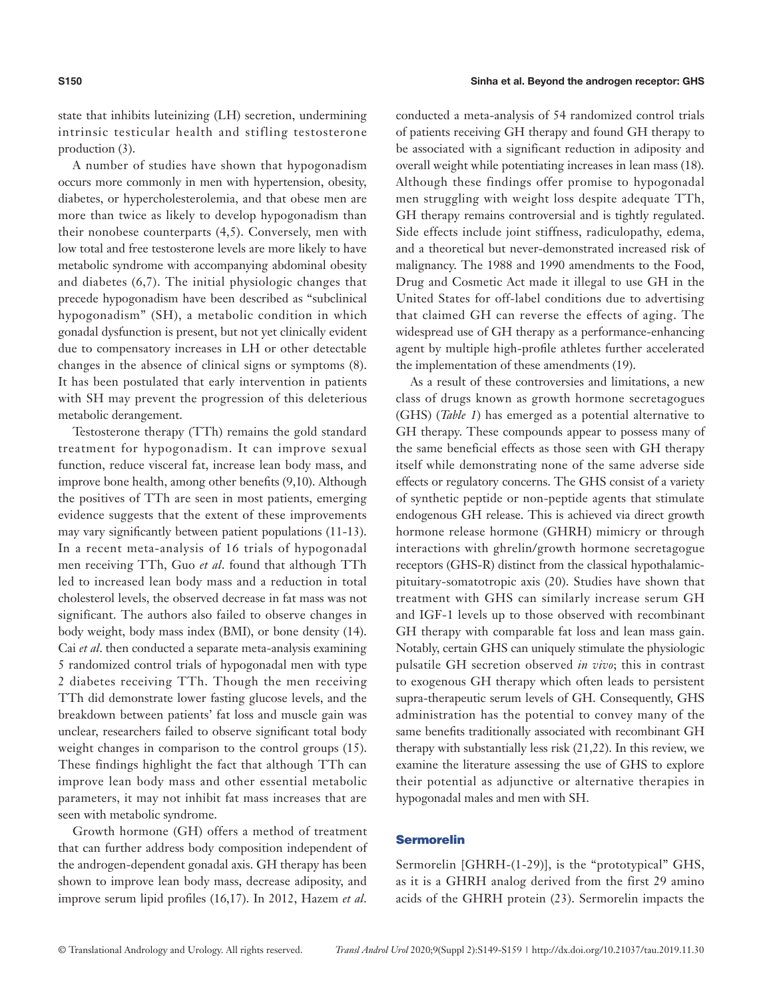state that inhibits luteinizing (LH) secretion, undermining intrinsic testicular health and stifling testosterone production (3).

A number of studies have shown that hypogonadism occurs more commonly in men with hypertension, obesity, diabetes, or hypercholesterolemia, and that obese men are more than twice as likely to develop hypogonadism than their nonobese counterparts (4,5). Conversely, men with low total and free testosterone levels are more likely to have metabolic syndrome with accompanying abdominal obesity and diabetes (6,7). The initial physiologic changes that precede hypogonadism have been described as "subclinical hypogonadism" (SH), a metabolic condition in which gonadal dysfunction is present, but not yet clinically evident due to compensatory increases in LH or other detectable changes in the absence of clinical signs or symptoms (8). It has been postulated that early intervention in patients with SH may prevent the progression of this deleterious metabolic derangement.

Testosterone therapy (TTh) remains the gold standard treatment for hypogonadism. It can improve sexual function, reduce visceral fat, increase lean body mass, and improve bone health, among other benefits (9,10). Although the positives of TTh are seen in most patients, emerging evidence suggests that the extent of these improvements may vary significantly between patient populations (11-13). In a recent meta-analysis of 16 trials of hypogonadal men receiving TTh, Guo *et al*. found that although TTh led to increased lean body mass and a reduction in total cholesterol levels, the observed decrease in fat mass was not significant. The authors also failed to observe changes in body weight, body mass index (BMI), or bone density (14). Cai *et al*. then conducted a separate meta-analysis examining 5 randomized control trials of hypogonadal men with type 2 diabetes receiving TTh. Though the men receiving TTh did demonstrate lower fasting glucose levels, and the breakdown between patients' fat loss and muscle gain was unclear, researchers failed to observe significant total body weight changes in comparison to the control groups (15). These findings highlight the fact that although TTh can improve lean body mass and other essential metabolic parameters, it may not inhibit fat mass increases that are seen with metabolic syndrome.

Growth hormone (GH) offers a method of treatment that can further address body composition independent of the androgen-dependent gonadal axis. GH therapy has been shown to improve lean body mass, decrease adiposity, and improve serum lipid profiles (16,17). In 2012, Hazem *et al*.

conducted a meta-analysis of 54 randomized control trials of patients receiving GH therapy and found GH therapy to be associated with a significant reduction in adiposity and overall weight while potentiating increases in lean mass (18). Although these findings offer promise to hypogonadal men struggling with weight loss despite adequate TTh, GH therapy remains controversial and is tightly regulated. Side effects include joint stiffness, radiculopathy, edema, and a theoretical but never-demonstrated increased risk of malignancy. The 1988 and 1990 amendments to the Food, Drug and Cosmetic Act made it illegal to use GH in the United States for off-label conditions due to advertising that claimed GH can reverse the effects of aging. The widespread use of GH therapy as a performance-enhancing agent by multiple high-profile athletes further accelerated the implementation of these amendments (19).

As a result of these controversies and limitations, a new class of drugs known as growth hormone secretagogues (GHS) (*Table 1*) has emerged as a potential alternative to GH therapy. These compounds appear to possess many of the same beneficial effects as those seen with GH therapy itself while demonstrating none of the same adverse side effects or regulatory concerns. The GHS consist of a variety of synthetic peptide or non-peptide agents that stimulate endogenous GH release. This is achieved via direct growth hormone release hormone (GHRH) mimicry or through interactions with ghrelin/growth hormone secretagogue receptors (GHS-R) distinct from the classical hypothalamicpituitary-somatotropic axis (20). Studies have shown that treatment with GHS can similarly increase serum GH and IGF-1 levels up to those observed with recombinant GH therapy with comparable fat loss and lean mass gain. Notably, certain GHS can uniquely stimulate the physiologic pulsatile GH secretion observed *in vivo*; this in contrast to exogenous GH therapy which often leads to persistent supra-therapeutic serum levels of GH. Consequently, GHS administration has the potential to convey many of the same benefits traditionally associated with recombinant GH therapy with substantially less risk (21,22). In this review, we examine the literature assessing the use of GHS to explore their potential as adjunctive or alternative therapies in hypogonadal males and men with SH.

## Sermorelin

Sermorelin [GHRH-(1-29)], is the "prototypical" GHS, as it is a GHRH analog derived from the first 29 amino acids of the GHRH protein (23). Sermorelin impacts the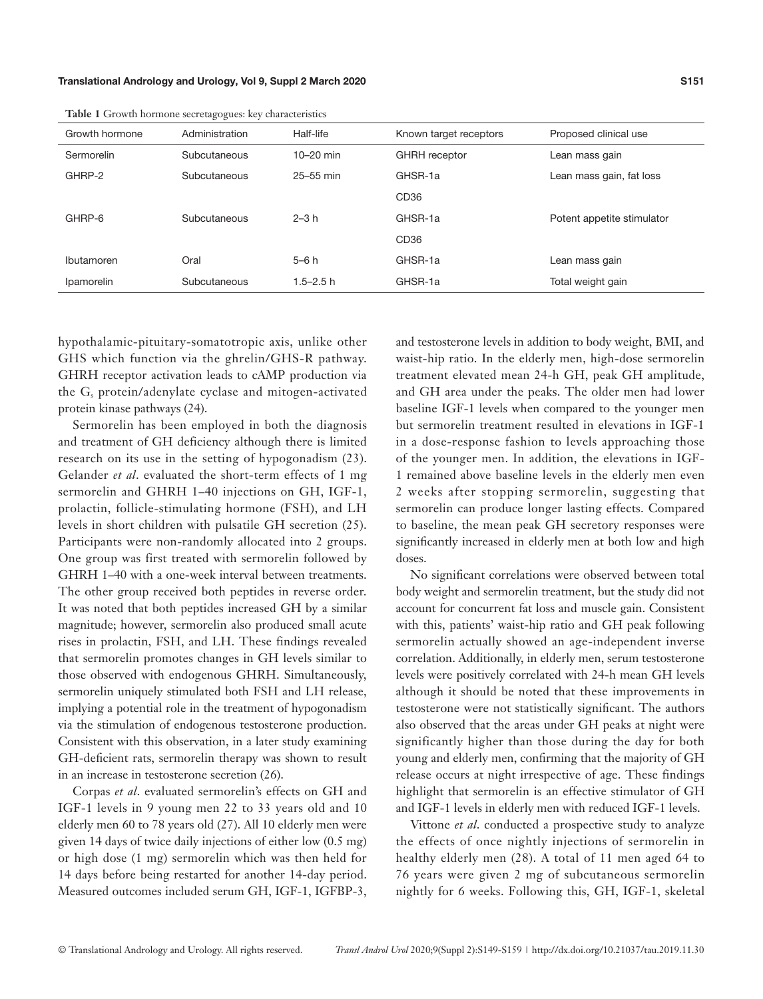|                | <u>.</u>       |               |                        |                            |
|----------------|----------------|---------------|------------------------|----------------------------|
| Growth hormone | Administration | Half-life     | Known target receptors | Proposed clinical use      |
| Sermorelin     | Subcutaneous   | $10-20$ min   | <b>GHRH</b> receptor   | Lean mass gain             |
| GHRP-2         | Subcutaneous   | 25-55 min     | GHSR-1a                | Lean mass gain, fat loss   |
|                |                |               | CD <sub>36</sub>       |                            |
| GHRP-6         | Subcutaneous   | $2-3h$        | GHSR-1a                | Potent appetite stimulator |
|                |                |               | CD <sub>36</sub>       |                            |
| Ibutamoren     | Oral           | $5-6h$        | GHSR-1a                | Lean mass gain             |
| Ipamorelin     | Subcutaneous   | $1.5 - 2.5$ h | GHSR-1a                | Total weight gain          |

**Table 1** Growth hormone secretagogues: key characteristics

hypothalamic-pituitary-somatotropic axis, unlike other GHS which function via the ghrelin/GHS-R pathway. GHRH receptor activation leads to cAMP production via the G<sub>s</sub> protein/adenylate cyclase and mitogen-activated protein kinase pathways (24).

Sermorelin has been employed in both the diagnosis and treatment of GH deficiency although there is limited research on its use in the setting of hypogonadism (23). Gelander *et al*. evaluated the short-term effects of 1 mg sermorelin and GHRH 1–40 injections on GH, IGF-1, prolactin, follicle-stimulating hormone (FSH), and LH levels in short children with pulsatile GH secretion (25). Participants were non-randomly allocated into 2 groups. One group was first treated with sermorelin followed by GHRH 1–40 with a one-week interval between treatments. The other group received both peptides in reverse order. It was noted that both peptides increased GH by a similar magnitude; however, sermorelin also produced small acute rises in prolactin, FSH, and LH. These findings revealed that sermorelin promotes changes in GH levels similar to those observed with endogenous GHRH. Simultaneously, sermorelin uniquely stimulated both FSH and LH release, implying a potential role in the treatment of hypogonadism via the stimulation of endogenous testosterone production. Consistent with this observation, in a later study examining GH-deficient rats, sermorelin therapy was shown to result in an increase in testosterone secretion (26).

Corpas *et al*. evaluated sermorelin's effects on GH and IGF-1 levels in 9 young men 22 to 33 years old and 10 elderly men 60 to 78 years old (27). All 10 elderly men were given 14 days of twice daily injections of either low (0.5 mg) or high dose (1 mg) sermorelin which was then held for 14 days before being restarted for another 14-day period. Measured outcomes included serum GH, IGF-1, IGFBP-3, and testosterone levels in addition to body weight, BMI, and waist-hip ratio. In the elderly men, high-dose sermorelin treatment elevated mean 24-h GH, peak GH amplitude, and GH area under the peaks. The older men had lower baseline IGF-1 levels when compared to the younger men but sermorelin treatment resulted in elevations in IGF-1 in a dose-response fashion to levels approaching those of the younger men. In addition, the elevations in IGF-1 remained above baseline levels in the elderly men even 2 weeks after stopping sermorelin, suggesting that sermorelin can produce longer lasting effects. Compared to baseline, the mean peak GH secretory responses were significantly increased in elderly men at both low and high doses.

No significant correlations were observed between total body weight and sermorelin treatment, but the study did not account for concurrent fat loss and muscle gain. Consistent with this, patients' waist-hip ratio and GH peak following sermorelin actually showed an age-independent inverse correlation. Additionally, in elderly men, serum testosterone levels were positively correlated with 24-h mean GH levels although it should be noted that these improvements in testosterone were not statistically significant. The authors also observed that the areas under GH peaks at night were significantly higher than those during the day for both young and elderly men, confirming that the majority of GH release occurs at night irrespective of age. These findings highlight that sermorelin is an effective stimulator of GH and IGF-1 levels in elderly men with reduced IGF-1 levels.

Vittone *et al*. conducted a prospective study to analyze the effects of once nightly injections of sermorelin in healthy elderly men (28). A total of 11 men aged 64 to 76 years were given 2 mg of subcutaneous sermorelin nightly for 6 weeks. Following this, GH, IGF-1, skeletal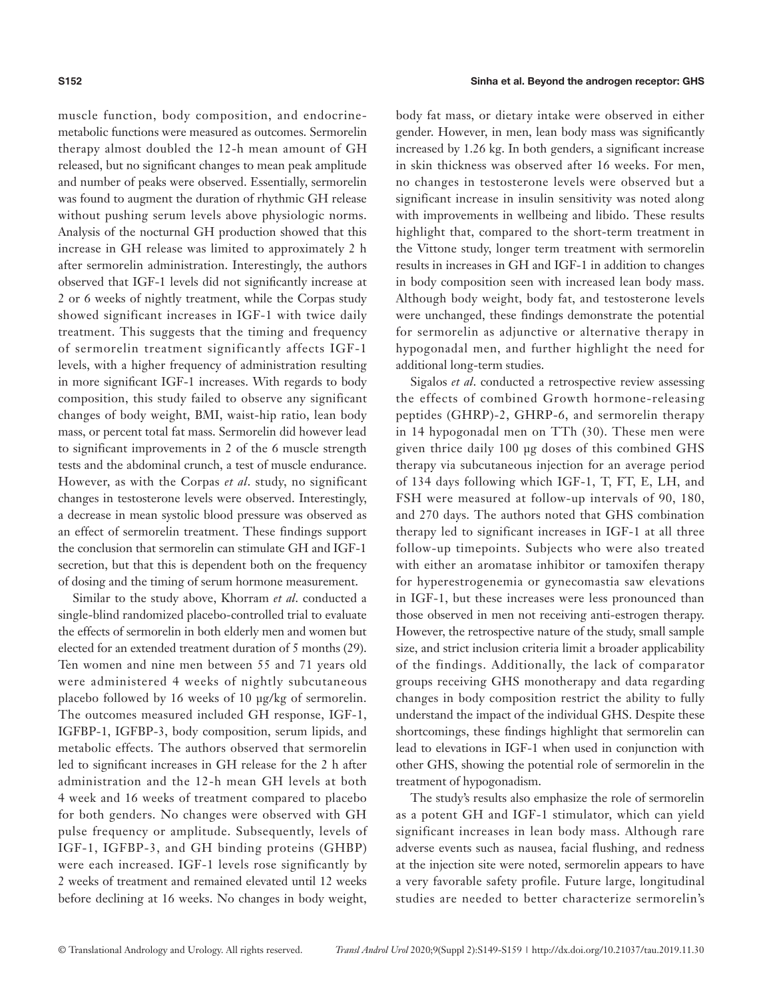muscle function, body composition, and endocrinemetabolic functions were measured as outcomes. Sermorelin therapy almost doubled the 12-h mean amount of GH released, but no significant changes to mean peak amplitude and number of peaks were observed. Essentially, sermorelin was found to augment the duration of rhythmic GH release without pushing serum levels above physiologic norms. Analysis of the nocturnal GH production showed that this increase in GH release was limited to approximately 2 h after sermorelin administration. Interestingly, the authors observed that IGF-1 levels did not significantly increase at 2 or 6 weeks of nightly treatment, while the Corpas study showed significant increases in IGF-1 with twice daily treatment. This suggests that the timing and frequency of sermorelin treatment significantly affects IGF-1 levels, with a higher frequency of administration resulting in more significant IGF-1 increases. With regards to body composition, this study failed to observe any significant changes of body weight, BMI, waist-hip ratio, lean body mass, or percent total fat mass. Sermorelin did however lead to significant improvements in 2 of the 6 muscle strength tests and the abdominal crunch, a test of muscle endurance. However, as with the Corpas *et al*. study, no significant changes in testosterone levels were observed. Interestingly, a decrease in mean systolic blood pressure was observed as an effect of sermorelin treatment. These findings support the conclusion that sermorelin can stimulate GH and IGF-1 secretion, but that this is dependent both on the frequency of dosing and the timing of serum hormone measurement.

Similar to the study above, Khorram *et al*. conducted a single-blind randomized placebo-controlled trial to evaluate the effects of sermorelin in both elderly men and women but elected for an extended treatment duration of 5 months (29). Ten women and nine men between 55 and 71 years old were administered 4 weeks of nightly subcutaneous placebo followed by 16 weeks of 10 μg/kg of sermorelin. The outcomes measured included GH response, IGF-1, IGFBP-1, IGFBP-3, body composition, serum lipids, and metabolic effects. The authors observed that sermorelin led to significant increases in GH release for the 2 h after administration and the 12-h mean GH levels at both 4 week and 16 weeks of treatment compared to placebo for both genders. No changes were observed with GH pulse frequency or amplitude. Subsequently, levels of IGF-1, IGFBP-3, and GH binding proteins (GHBP) were each increased. IGF-1 levels rose significantly by 2 weeks of treatment and remained elevated until 12 weeks before declining at 16 weeks. No changes in body weight,

body fat mass, or dietary intake were observed in either gender. However, in men, lean body mass was significantly increased by 1.26 kg. In both genders, a significant increase in skin thickness was observed after 16 weeks. For men, no changes in testosterone levels were observed but a significant increase in insulin sensitivity was noted along with improvements in wellbeing and libido. These results highlight that, compared to the short-term treatment in the Vittone study, longer term treatment with sermorelin results in increases in GH and IGF-1 in addition to changes in body composition seen with increased lean body mass. Although body weight, body fat, and testosterone levels were unchanged, these findings demonstrate the potential for sermorelin as adjunctive or alternative therapy in hypogonadal men, and further highlight the need for additional long-term studies.

Sigalos *et al*. conducted a retrospective review assessing the effects of combined Growth hormone-releasing peptides (GHRP)-2, GHRP-6, and sermorelin therapy in 14 hypogonadal men on TTh (30). These men were given thrice daily 100 μg doses of this combined GHS therapy via subcutaneous injection for an average period of 134 days following which IGF-1, T, FT, E, LH, and FSH were measured at follow-up intervals of 90, 180, and 270 days. The authors noted that GHS combination therapy led to significant increases in IGF-1 at all three follow-up timepoints. Subjects who were also treated with either an aromatase inhibitor or tamoxifen therapy for hyperestrogenemia or gynecomastia saw elevations in IGF-1, but these increases were less pronounced than those observed in men not receiving anti-estrogen therapy. However, the retrospective nature of the study, small sample size, and strict inclusion criteria limit a broader applicability of the findings. Additionally, the lack of comparator groups receiving GHS monotherapy and data regarding changes in body composition restrict the ability to fully understand the impact of the individual GHS. Despite these shortcomings, these findings highlight that sermorelin can lead to elevations in IGF-1 when used in conjunction with other GHS, showing the potential role of sermorelin in the treatment of hypogonadism.

The study's results also emphasize the role of sermorelin as a potent GH and IGF-1 stimulator, which can yield significant increases in lean body mass. Although rare adverse events such as nausea, facial flushing, and redness at the injection site were noted, sermorelin appears to have a very favorable safety profile. Future large, longitudinal studies are needed to better characterize sermorelin's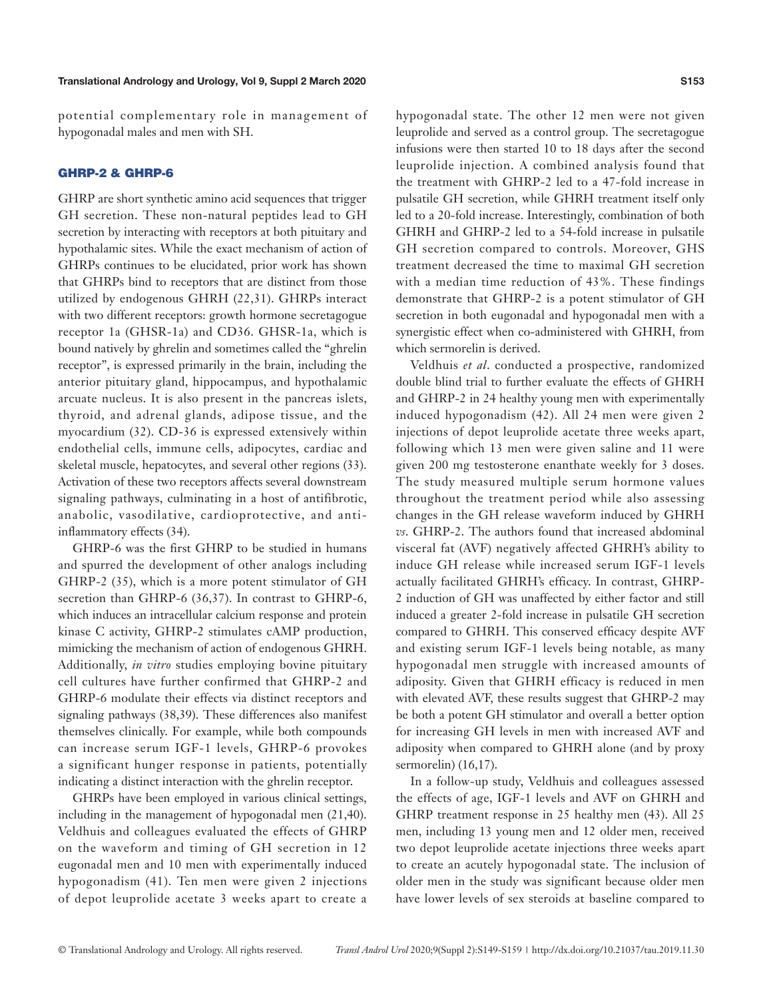potential complementary role in management of hypogonadal males and men with SH.

#### GHRP-2 & GHRP-6

GHRP are short synthetic amino acid sequences that trigger GH secretion. These non-natural peptides lead to GH secretion by interacting with receptors at both pituitary and hypothalamic sites. While the exact mechanism of action of GHRPs continues to be elucidated, prior work has shown that GHRPs bind to receptors that are distinct from those utilized by endogenous GHRH (22,31). GHRPs interact with two different receptors: growth hormone secretagogue receptor 1a (GHSR-1a) and CD36. GHSR-1a, which is bound natively by ghrelin and sometimes called the "ghrelin receptor", is expressed primarily in the brain, including the anterior pituitary gland, hippocampus, and hypothalamic arcuate nucleus. It is also present in the pancreas islets, thyroid, and adrenal glands, adipose tissue, and the myocardium (32). CD-36 is expressed extensively within endothelial cells, immune cells, adipocytes, cardiac and skeletal muscle, hepatocytes, and several other regions (33). Activation of these two receptors affects several downstream signaling pathways, culminating in a host of antifibrotic, anabolic, vasodilative, cardioprotective, and antiinflammatory effects (34).

GHRP-6 was the first GHRP to be studied in humans and spurred the development of other analogs including GHRP-2 (35), which is a more potent stimulator of GH secretion than GHRP-6 (36,37). In contrast to GHRP-6, which induces an intracellular calcium response and protein kinase C activity, GHRP-2 stimulates cAMP production, mimicking the mechanism of action of endogenous GHRH. Additionally, *in vitro* studies employing bovine pituitary cell cultures have further confirmed that GHRP-2 and GHRP-6 modulate their effects via distinct receptors and signaling pathways (38,39). These differences also manifest themselves clinically. For example, while both compounds can increase serum IGF-1 levels, GHRP-6 provokes a significant hunger response in patients, potentially indicating a distinct interaction with the ghrelin receptor.

GHRPs have been employed in various clinical settings, including in the management of hypogonadal men (21,40). Veldhuis and colleagues evaluated the effects of GHRP on the waveform and timing of GH secretion in 12 eugonadal men and 10 men with experimentally induced hypogonadism (41). Ten men were given 2 injections of depot leuprolide acetate 3 weeks apart to create a hypogonadal state. The other 12 men were not given leuprolide and served as a control group. The secretagogue infusions were then started 10 to 18 days after the second leuprolide injection. A combined analysis found that the treatment with GHRP-2 led to a 47-fold increase in pulsatile GH secretion, while GHRH treatment itself only led to a 20-fold increase. Interestingly, combination of both GHRH and GHRP-2 led to a 54-fold increase in pulsatile GH secretion compared to controls. Moreover, GHS treatment decreased the time to maximal GH secretion with a median time reduction of 43%. These findings demonstrate that GHRP-2 is a potent stimulator of GH secretion in both eugonadal and hypogonadal men with a synergistic effect when co-administered with GHRH, from which sermorelin is derived.

Veldhuis *et al*. conducted a prospective, randomized double blind trial to further evaluate the effects of GHRH and GHRP-2 in 24 healthy young men with experimentally induced hypogonadism (42). All 24 men were given 2 injections of depot leuprolide acetate three weeks apart, following which 13 men were given saline and 11 were given 200 mg testosterone enanthate weekly for 3 doses. The study measured multiple serum hormone values throughout the treatment period while also assessing changes in the GH release waveform induced by GHRH *vs*. GHRP-2. The authors found that increased abdominal visceral fat (AVF) negatively affected GHRH's ability to induce GH release while increased serum IGF-1 levels actually facilitated GHRH's efficacy. In contrast, GHRP-2 induction of GH was unaffected by either factor and still induced a greater 2-fold increase in pulsatile GH secretion compared to GHRH. This conserved efficacy despite AVF and existing serum IGF-1 levels being notable, as many hypogonadal men struggle with increased amounts of adiposity. Given that GHRH efficacy is reduced in men with elevated AVF, these results suggest that GHRP-2 may be both a potent GH stimulator and overall a better option for increasing GH levels in men with increased AVF and adiposity when compared to GHRH alone (and by proxy sermorelin) (16,17).

In a follow-up study, Veldhuis and colleagues assessed the effects of age, IGF-1 levels and AVF on GHRH and GHRP treatment response in 25 healthy men (43). All 25 men, including 13 young men and 12 older men, received two depot leuprolide acetate injections three weeks apart to create an acutely hypogonadal state. The inclusion of older men in the study was significant because older men have lower levels of sex steroids at baseline compared to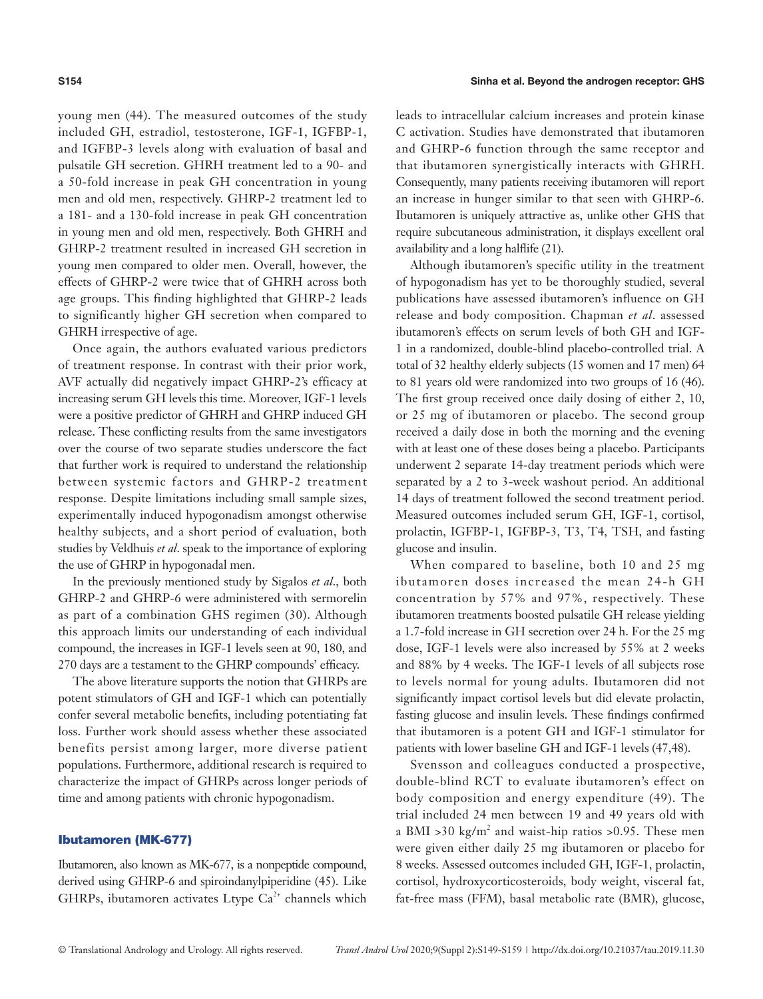young men (44). The measured outcomes of the study included GH, estradiol, testosterone, IGF-1, IGFBP-1, and IGFBP-3 levels along with evaluation of basal and pulsatile GH secretion. GHRH treatment led to a 90- and a 50-fold increase in peak GH concentration in young men and old men, respectively. GHRP-2 treatment led to a 181- and a 130-fold increase in peak GH concentration in young men and old men, respectively. Both GHRH and GHRP-2 treatment resulted in increased GH secretion in young men compared to older men. Overall, however, the effects of GHRP-2 were twice that of GHRH across both age groups. This finding highlighted that GHRP-2 leads to significantly higher GH secretion when compared to GHRH irrespective of age.

Once again, the authors evaluated various predictors of treatment response. In contrast with their prior work, AVF actually did negatively impact GHRP-2's efficacy at increasing serum GH levels this time. Moreover, IGF-1 levels were a positive predictor of GHRH and GHRP induced GH release. These conflicting results from the same investigators over the course of two separate studies underscore the fact that further work is required to understand the relationship between systemic factors and GHRP-2 treatment response. Despite limitations including small sample sizes, experimentally induced hypogonadism amongst otherwise healthy subjects, and a short period of evaluation, both studies by Veldhuis *et al*. speak to the importance of exploring the use of GHRP in hypogonadal men.

In the previously mentioned study by Sigalos *et al*., both GHRP-2 and GHRP-6 were administered with sermorelin as part of a combination GHS regimen (30). Although this approach limits our understanding of each individual compound, the increases in IGF-1 levels seen at 90, 180, and 270 days are a testament to the GHRP compounds' efficacy.

The above literature supports the notion that GHRPs are potent stimulators of GH and IGF-1 which can potentially confer several metabolic benefits, including potentiating fat loss. Further work should assess whether these associated benefits persist among larger, more diverse patient populations. Furthermore, additional research is required to characterize the impact of GHRPs across longer periods of time and among patients with chronic hypogonadism.

#### Ibutamoren (MK-677)

Ibutamoren, also known as MK-677, is a nonpeptide compound, derived using GHRP-6 and spiroindanylpiperidine (45). Like GHRPs, ibutamoren activates Ltype  $Ca^{2+}$  channels which leads to intracellular calcium increases and protein kinase C activation. Studies have demonstrated that ibutamoren and GHRP-6 function through the same receptor and that ibutamoren synergistically interacts with GHRH. Consequently, many patients receiving ibutamoren will report an increase in hunger similar to that seen with GHRP-6. Ibutamoren is uniquely attractive as, unlike other GHS that require subcutaneous administration, it displays excellent oral availability and a long halflife (21).

Although ibutamoren's specific utility in the treatment of hypogonadism has yet to be thoroughly studied, several publications have assessed ibutamoren's influence on GH release and body composition. Chapman *et al*. assessed ibutamoren's effects on serum levels of both GH and IGF-1 in a randomized, double-blind placebo-controlled trial. A total of 32 healthy elderly subjects (15 women and 17 men) 64 to 81 years old were randomized into two groups of 16 (46). The first group received once daily dosing of either 2, 10, or 25 mg of ibutamoren or placebo. The second group received a daily dose in both the morning and the evening with at least one of these doses being a placebo. Participants underwent 2 separate 14-day treatment periods which were separated by a 2 to 3-week washout period. An additional 14 days of treatment followed the second treatment period. Measured outcomes included serum GH, IGF-1, cortisol, prolactin, IGFBP-1, IGFBP-3, T3, T4, TSH, and fasting glucose and insulin.

When compared to baseline, both 10 and 25 mg ibutamoren doses increased the mean 24-h GH concentration by 57% and 97%, respectively. These ibutamoren treatments boosted pulsatile GH release yielding a 1.7-fold increase in GH secretion over 24 h. For the 25 mg dose, IGF-1 levels were also increased by 55% at 2 weeks and 88% by 4 weeks. The IGF-1 levels of all subjects rose to levels normal for young adults. Ibutamoren did not significantly impact cortisol levels but did elevate prolactin, fasting glucose and insulin levels. These findings confirmed that ibutamoren is a potent GH and IGF-1 stimulator for patients with lower baseline GH and IGF-1 levels (47,48).

Svensson and colleagues conducted a prospective, double-blind RCT to evaluate ibutamoren's effect on body composition and energy expenditure (49). The trial included 24 men between 19 and 49 years old with a BMI >30 kg/m<sup>2</sup> and waist-hip ratios >0.95. These men were given either daily 25 mg ibutamoren or placebo for 8 weeks. Assessed outcomes included GH, IGF-1, prolactin, cortisol, hydroxycorticosteroids, body weight, visceral fat, fat-free mass (FFM), basal metabolic rate (BMR), glucose,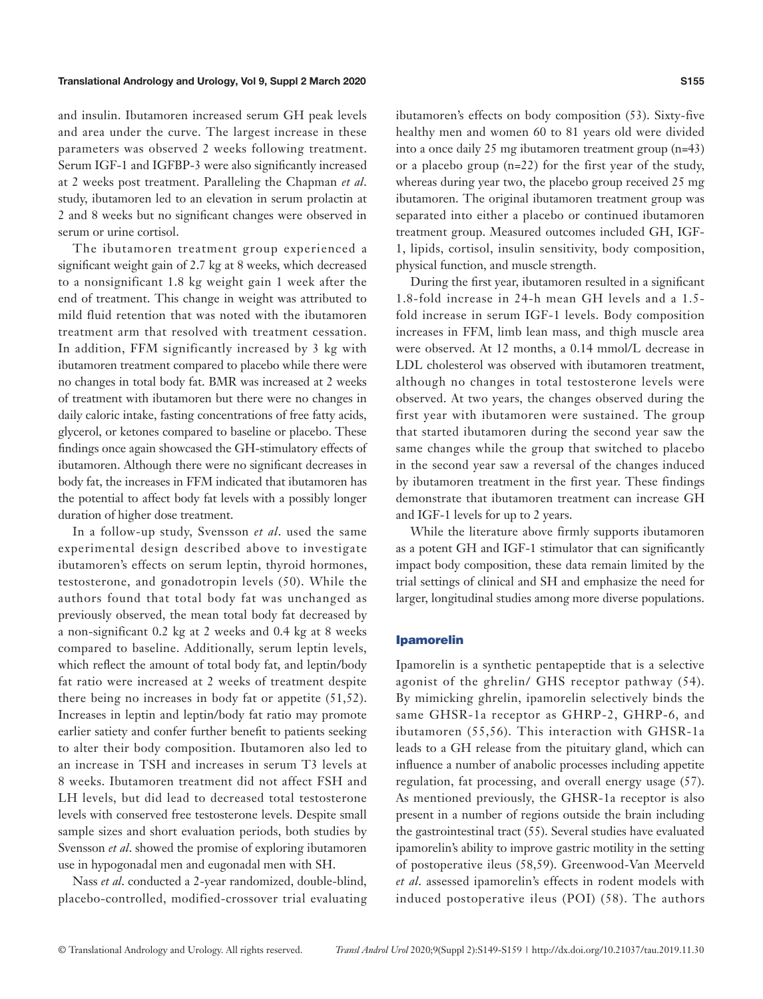and insulin. Ibutamoren increased serum GH peak levels and area under the curve. The largest increase in these parameters was observed 2 weeks following treatment. Serum IGF-1 and IGFBP-3 were also significantly increased at 2 weeks post treatment. Paralleling the Chapman *et al*. study, ibutamoren led to an elevation in serum prolactin at 2 and 8 weeks but no significant changes were observed in serum or urine cortisol.

The ibutamoren treatment group experienced a significant weight gain of 2.7 kg at 8 weeks, which decreased to a nonsignificant 1.8 kg weight gain 1 week after the end of treatment. This change in weight was attributed to mild fluid retention that was noted with the ibutamoren treatment arm that resolved with treatment cessation. In addition, FFM significantly increased by 3 kg with ibutamoren treatment compared to placebo while there were no changes in total body fat. BMR was increased at 2 weeks of treatment with ibutamoren but there were no changes in daily caloric intake, fasting concentrations of free fatty acids, glycerol, or ketones compared to baseline or placebo. These findings once again showcased the GH-stimulatory effects of ibutamoren. Although there were no significant decreases in body fat, the increases in FFM indicated that ibutamoren has the potential to affect body fat levels with a possibly longer duration of higher dose treatment.

In a follow-up study, Svensson *et al*. used the same experimental design described above to investigate ibutamoren's effects on serum leptin, thyroid hormones, testosterone, and gonadotropin levels (50). While the authors found that total body fat was unchanged as previously observed, the mean total body fat decreased by a non-significant 0.2 kg at 2 weeks and 0.4 kg at 8 weeks compared to baseline. Additionally, serum leptin levels, which reflect the amount of total body fat, and leptin/body fat ratio were increased at 2 weeks of treatment despite there being no increases in body fat or appetite (51,52). Increases in leptin and leptin/body fat ratio may promote earlier satiety and confer further benefit to patients seeking to alter their body composition. Ibutamoren also led to an increase in TSH and increases in serum T3 levels at 8 weeks. Ibutamoren treatment did not affect FSH and LH levels, but did lead to decreased total testosterone levels with conserved free testosterone levels. Despite small sample sizes and short evaluation periods, both studies by Svensson *et al*. showed the promise of exploring ibutamoren use in hypogonadal men and eugonadal men with SH.

Nass *et al*. conducted a 2-year randomized, double-blind, placebo-controlled, modified-crossover trial evaluating ibutamoren's effects on body composition (53). Sixty-five healthy men and women 60 to 81 years old were divided into a once daily 25 mg ibutamoren treatment group (n=43) or a placebo group (n=22) for the first year of the study, whereas during year two, the placebo group received 25 mg ibutamoren. The original ibutamoren treatment group was separated into either a placebo or continued ibutamoren treatment group. Measured outcomes included GH, IGF-1, lipids, cortisol, insulin sensitivity, body composition, physical function, and muscle strength.

During the first year, ibutamoren resulted in a significant 1.8-fold increase in 24-h mean GH levels and a 1.5 fold increase in serum IGF-1 levels. Body composition increases in FFM, limb lean mass, and thigh muscle area were observed. At 12 months, a 0.14 mmol/L decrease in LDL cholesterol was observed with ibutamoren treatment, although no changes in total testosterone levels were observed. At two years, the changes observed during the first year with ibutamoren were sustained. The group that started ibutamoren during the second year saw the same changes while the group that switched to placebo in the second year saw a reversal of the changes induced by ibutamoren treatment in the first year. These findings demonstrate that ibutamoren treatment can increase GH and IGF-1 levels for up to 2 years.

While the literature above firmly supports ibutamoren as a potent GH and IGF-1 stimulator that can significantly impact body composition, these data remain limited by the trial settings of clinical and SH and emphasize the need for larger, longitudinal studies among more diverse populations.

#### Ipamorelin

Ipamorelin is a synthetic pentapeptide that is a selective agonist of the ghrelin/ GHS receptor pathway (54). By mimicking ghrelin, ipamorelin selectively binds the same GHSR-1a receptor as GHRP-2, GHRP-6, and ibutamoren (55,56). This interaction with GHSR-1a leads to a GH release from the pituitary gland, which can influence a number of anabolic processes including appetite regulation, fat processing, and overall energy usage (57). As mentioned previously, the GHSR-1a receptor is also present in a number of regions outside the brain including the gastrointestinal tract (55). Several studies have evaluated ipamorelin's ability to improve gastric motility in the setting of postoperative ileus (58,59). Greenwood-Van Meerveld *et al*. assessed ipamorelin's effects in rodent models with induced postoperative ileus (POI) (58). The authors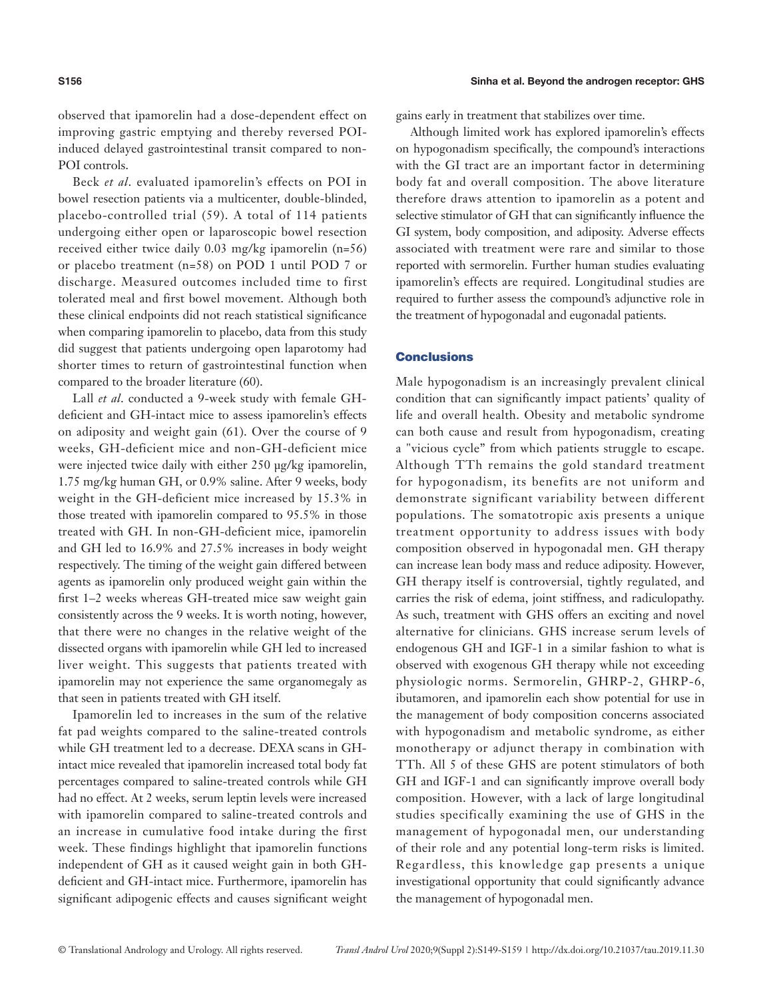observed that ipamorelin had a dose-dependent effect on improving gastric emptying and thereby reversed POIinduced delayed gastrointestinal transit compared to non-POI controls.

Beck *et al*. evaluated ipamorelin's effects on POI in bowel resection patients via a multicenter, double-blinded, placebo-controlled trial (59). A total of 114 patients undergoing either open or laparoscopic bowel resection received either twice daily 0.03 mg/kg ipamorelin (n=56) or placebo treatment (n=58) on POD 1 until POD 7 or discharge. Measured outcomes included time to first tolerated meal and first bowel movement. Although both these clinical endpoints did not reach statistical significance when comparing ipamorelin to placebo, data from this study did suggest that patients undergoing open laparotomy had shorter times to return of gastrointestinal function when compared to the broader literature (60).

Lall *et al*. conducted a 9-week study with female GHdeficient and GH-intact mice to assess ipamorelin's effects on adiposity and weight gain (61). Over the course of 9 weeks, GH-deficient mice and non-GH-deficient mice were injected twice daily with either 250 μg/kg ipamorelin, 1.75 mg/kg human GH, or 0.9% saline. After 9 weeks, body weight in the GH-deficient mice increased by 15.3% in those treated with ipamorelin compared to 95.5% in those treated with GH. In non-GH-deficient mice, ipamorelin and GH led to 16.9% and 27.5% increases in body weight respectively. The timing of the weight gain differed between agents as ipamorelin only produced weight gain within the first 1–2 weeks whereas GH-treated mice saw weight gain consistently across the 9 weeks. It is worth noting, however, that there were no changes in the relative weight of the dissected organs with ipamorelin while GH led to increased liver weight. This suggests that patients treated with ipamorelin may not experience the same organomegaly as that seen in patients treated with GH itself.

Ipamorelin led to increases in the sum of the relative fat pad weights compared to the saline-treated controls while GH treatment led to a decrease. DEXA scans in GHintact mice revealed that ipamorelin increased total body fat percentages compared to saline-treated controls while GH had no effect. At 2 weeks, serum leptin levels were increased with ipamorelin compared to saline-treated controls and an increase in cumulative food intake during the first week. These findings highlight that ipamorelin functions independent of GH as it caused weight gain in both GHdeficient and GH-intact mice. Furthermore, ipamorelin has significant adipogenic effects and causes significant weight gains early in treatment that stabilizes over time.

Although limited work has explored ipamorelin's effects on hypogonadism specifically, the compound's interactions with the GI tract are an important factor in determining body fat and overall composition. The above literature therefore draws attention to ipamorelin as a potent and selective stimulator of GH that can significantly influence the GI system, body composition, and adiposity. Adverse effects associated with treatment were rare and similar to those reported with sermorelin. Further human studies evaluating ipamorelin's effects are required. Longitudinal studies are required to further assess the compound's adjunctive role in the treatment of hypogonadal and eugonadal patients.

### **Conclusions**

Male hypogonadism is an increasingly prevalent clinical condition that can significantly impact patients' quality of life and overall health. Obesity and metabolic syndrome can both cause and result from hypogonadism, creating a "vicious cycle" from which patients struggle to escape. Although TTh remains the gold standard treatment for hypogonadism, its benefits are not uniform and demonstrate significant variability between different populations. The somatotropic axis presents a unique treatment opportunity to address issues with body composition observed in hypogonadal men. GH therapy can increase lean body mass and reduce adiposity. However, GH therapy itself is controversial, tightly regulated, and carries the risk of edema, joint stiffness, and radiculopathy. As such, treatment with GHS offers an exciting and novel alternative for clinicians. GHS increase serum levels of endogenous GH and IGF-1 in a similar fashion to what is observed with exogenous GH therapy while not exceeding physiologic norms. Sermorelin, GHRP-2, GHRP-6, ibutamoren, and ipamorelin each show potential for use in the management of body composition concerns associated with hypogonadism and metabolic syndrome, as either monotherapy or adjunct therapy in combination with TTh. All 5 of these GHS are potent stimulators of both GH and IGF-1 and can significantly improve overall body composition. However, with a lack of large longitudinal studies specifically examining the use of GHS in the management of hypogonadal men, our understanding of their role and any potential long-term risks is limited. Regardless, this knowledge gap presents a unique investigational opportunity that could significantly advance the management of hypogonadal men.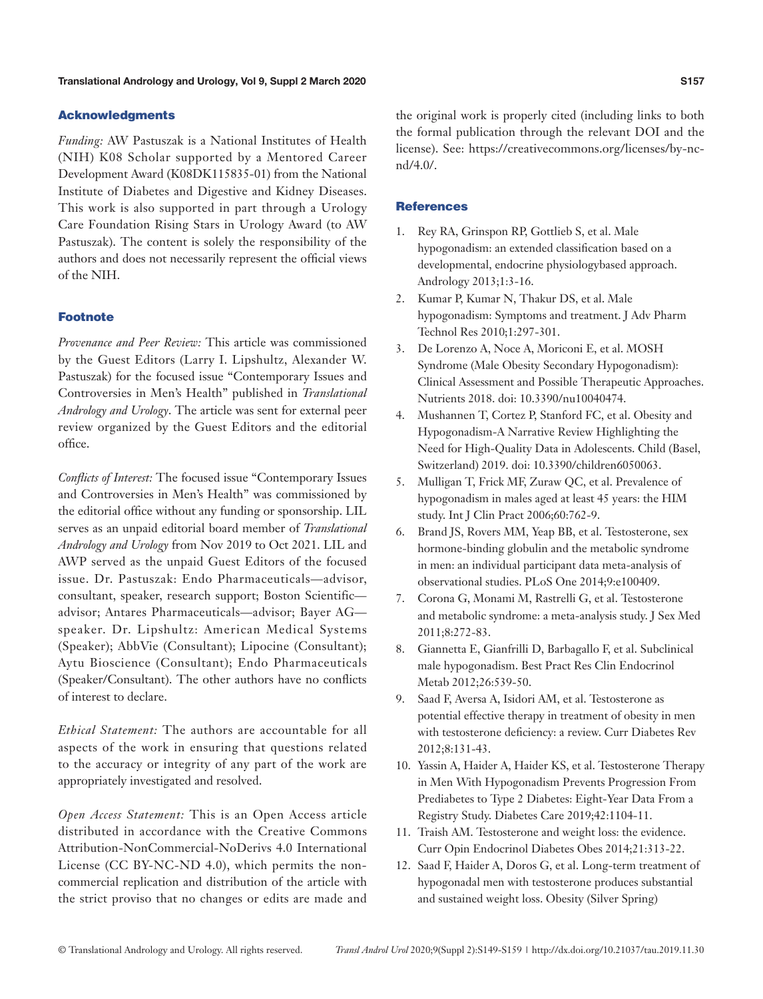#### Acknowledgments

*Funding:* AW Pastuszak is a National Institutes of Health (NIH) K08 Scholar supported by a Mentored Career Development Award (K08DK115835-01) from the National Institute of Diabetes and Digestive and Kidney Diseases. This work is also supported in part through a Urology Care Foundation Rising Stars in Urology Award (to AW Pastuszak). The content is solely the responsibility of the authors and does not necessarily represent the official views of the NIH.

#### Footnote

*Provenance and Peer Review:* This article was commissioned by the Guest Editors (Larry I. Lipshultz, Alexander W. Pastuszak) for the focused issue "Contemporary Issues and Controversies in Men's Health" published in *Translational Andrology and Urology*. The article was sent for external peer review organized by the Guest Editors and the editorial office.

*Conflicts of Interest:* The focused issue "Contemporary Issues and Controversies in Men's Health" was commissioned by the editorial office without any funding or sponsorship. LIL serves as an unpaid editorial board member of *Translational Andrology and Urology* from Nov 2019 to Oct 2021. LIL and AWP served as the unpaid Guest Editors of the focused issue. Dr. Pastuszak: Endo Pharmaceuticals—advisor, consultant, speaker, research support; Boston Scientific advisor; Antares Pharmaceuticals—advisor; Bayer AG speaker. Dr. Lipshultz: American Medical Systems (Speaker); AbbVie (Consultant); Lipocine (Consultant); Aytu Bioscience (Consultant); Endo Pharmaceuticals (Speaker/Consultant). The other authors have no conflicts of interest to declare.

*Ethical Statement:* The authors are accountable for all aspects of the work in ensuring that questions related to the accuracy or integrity of any part of the work are appropriately investigated and resolved.

*Open Access Statement:* This is an Open Access article distributed in accordance with the Creative Commons Attribution-NonCommercial-NoDerivs 4.0 International License (CC BY-NC-ND 4.0), which permits the noncommercial replication and distribution of the article with the strict proviso that no changes or edits are made and

the original work is properly cited (including links to both the formal publication through the relevant DOI and the license). See: https://creativecommons.org/licenses/by-ncnd/4.0/.

### **References**

- 1. Rey RA, Grinspon RP, Gottlieb S, et al. Male hypogonadism: an extended classification based on a developmental, endocrine physiologybased approach. Andrology 2013;1:3-16.
- 2. Kumar P, Kumar N, Thakur DS, et al. Male hypogonadism: Symptoms and treatment. J Adv Pharm Technol Res 2010;1:297-301.
- 3. De Lorenzo A, Noce A, Moriconi E, et al. MOSH Syndrome (Male Obesity Secondary Hypogonadism): Clinical Assessment and Possible Therapeutic Approaches. Nutrients 2018. doi: 10.3390/nu10040474.
- 4. Mushannen T, Cortez P, Stanford FC, et al. Obesity and Hypogonadism-A Narrative Review Highlighting the Need for High-Quality Data in Adolescents. Child (Basel, Switzerland) 2019. doi: 10.3390/children6050063.
- 5. Mulligan T, Frick MF, Zuraw QC, et al. Prevalence of hypogonadism in males aged at least 45 years: the HIM study. Int J Clin Pract 2006;60:762-9.
- 6. Brand JS, Rovers MM, Yeap BB, et al. Testosterone, sex hormone-binding globulin and the metabolic syndrome in men: an individual participant data meta-analysis of observational studies. PLoS One 2014;9:e100409.
- 7. Corona G, Monami M, Rastrelli G, et al. Testosterone and metabolic syndrome: a meta-analysis study. J Sex Med 2011;8:272-83.
- 8. Giannetta E, Gianfrilli D, Barbagallo F, et al. Subclinical male hypogonadism. Best Pract Res Clin Endocrinol Metab 2012;26:539-50.
- 9. Saad F, Aversa A, Isidori AM, et al. Testosterone as potential effective therapy in treatment of obesity in men with testosterone deficiency: a review. Curr Diabetes Rev 2012;8:131-43.
- 10. Yassin A, Haider A, Haider KS, et al. Testosterone Therapy in Men With Hypogonadism Prevents Progression From Prediabetes to Type 2 Diabetes: Eight-Year Data From a Registry Study. Diabetes Care 2019;42:1104-11.
- 11. Traish AM. Testosterone and weight loss: the evidence. Curr Opin Endocrinol Diabetes Obes 2014;21:313-22.
- 12. Saad F, Haider A, Doros G, et al. Long-term treatment of hypogonadal men with testosterone produces substantial and sustained weight loss. Obesity (Silver Spring)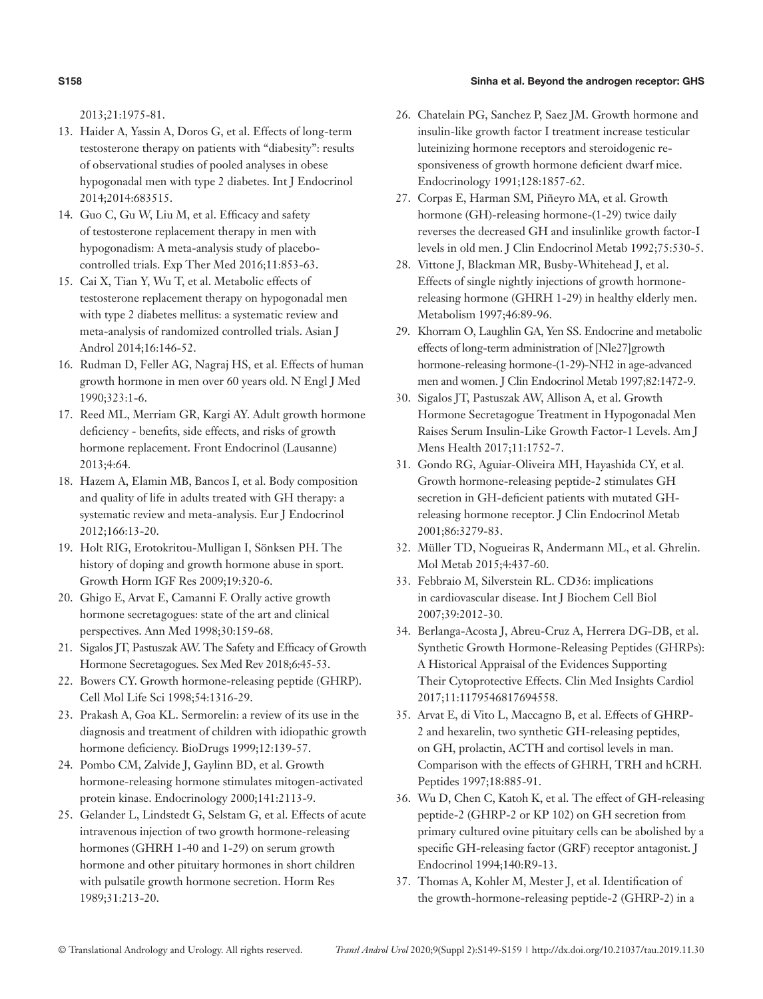#### **S158** Sinha et al. Beyond the androgen receptor: GHS

2013;21:1975-81.

- 13. Haider A, Yassin A, Doros G, et al. Effects of long-term testosterone therapy on patients with "diabesity": results of observational studies of pooled analyses in obese hypogonadal men with type 2 diabetes. Int J Endocrinol 2014;2014:683515.
- 14. Guo C, Gu W, Liu M, et al. Efficacy and safety of testosterone replacement therapy in men with hypogonadism: A meta-analysis study of placebocontrolled trials. Exp Ther Med 2016;11:853-63.
- 15. Cai X, Tian Y, Wu T, et al. Metabolic effects of testosterone replacement therapy on hypogonadal men with type 2 diabetes mellitus: a systematic review and meta-analysis of randomized controlled trials. Asian J Androl 2014;16:146-52.
- 16. Rudman D, Feller AG, Nagraj HS, et al. Effects of human growth hormone in men over 60 years old. N Engl J Med 1990;323:1-6.
- 17. Reed ML, Merriam GR, Kargi AY. Adult growth hormone deficiency - benefits, side effects, and risks of growth hormone replacement. Front Endocrinol (Lausanne) 2013;4:64.
- 18. Hazem A, Elamin MB, Bancos I, et al. Body composition and quality of life in adults treated with GH therapy: a systematic review and meta-analysis. Eur J Endocrinol 2012;166:13-20.
- 19. Holt RIG, Erotokritou-Mulligan I, Sönksen PH. The history of doping and growth hormone abuse in sport. Growth Horm IGF Res 2009;19:320-6.
- 20. Ghigo E, Arvat E, Camanni F. Orally active growth hormone secretagogues: state of the art and clinical perspectives. Ann Med 1998;30:159-68.
- 21. Sigalos JT, Pastuszak AW. The Safety and Efficacy of Growth Hormone Secretagogues. Sex Med Rev 2018;6:45-53.
- 22. Bowers CY. Growth hormone-releasing peptide (GHRP). Cell Mol Life Sci 1998;54:1316-29.
- 23. Prakash A, Goa KL. Sermorelin: a review of its use in the diagnosis and treatment of children with idiopathic growth hormone deficiency. BioDrugs 1999;12:139-57.
- 24. Pombo CM, Zalvide J, Gaylinn BD, et al. Growth hormone-releasing hormone stimulates mitogen-activated protein kinase. Endocrinology 2000;141:2113-9.
- 25. Gelander L, Lindstedt G, Selstam G, et al. Effects of acute intravenous injection of two growth hormone-releasing hormones (GHRH 1-40 and 1-29) on serum growth hormone and other pituitary hormones in short children with pulsatile growth hormone secretion. Horm Res 1989;31:213-20.
- 26. Chatelain PG, Sanchez P, Saez JM. Growth hormone and insulin-like growth factor I treatment increase testicular luteinizing hormone receptors and steroidogenic responsiveness of growth hormone deficient dwarf mice. Endocrinology 1991;128:1857-62.
- 27. Corpas E, Harman SM, Piñeyro MA, et al. Growth hormone (GH)-releasing hormone-(1-29) twice daily reverses the decreased GH and insulinlike growth factor-I levels in old men. J Clin Endocrinol Metab 1992;75:530-5.
- 28. Vittone J, Blackman MR, Busby-Whitehead J, et al. Effects of single nightly injections of growth hormonereleasing hormone (GHRH 1-29) in healthy elderly men. Metabolism 1997;46:89-96.
- 29. Khorram O, Laughlin GA, Yen SS. Endocrine and metabolic effects of long-term administration of [Nle27]growth hormone-releasing hormone-(1-29)-NH2 in age-advanced men and women. J Clin Endocrinol Metab 1997;82:1472-9.
- 30. Sigalos JT, Pastuszak AW, Allison A, et al. Growth Hormone Secretagogue Treatment in Hypogonadal Men Raises Serum Insulin-Like Growth Factor-1 Levels. Am J Mens Health 2017;11:1752-7.
- 31. Gondo RG, Aguiar-Oliveira MH, Hayashida CY, et al. Growth hormone-releasing peptide-2 stimulates GH secretion in GH-deficient patients with mutated GHreleasing hormone receptor. J Clin Endocrinol Metab 2001;86:3279-83.
- 32. Müller TD, Nogueiras R, Andermann ML, et al. Ghrelin. Mol Metab 2015;4:437-60.
- 33. Febbraio M, Silverstein RL. CD36: implications in cardiovascular disease. Int J Biochem Cell Biol 2007;39:2012-30.
- 34. Berlanga-Acosta J, Abreu-Cruz A, Herrera DG-DB, et al. Synthetic Growth Hormone-Releasing Peptides (GHRPs): A Historical Appraisal of the Evidences Supporting Their Cytoprotective Effects. Clin Med Insights Cardiol 2017;11:1179546817694558.
- 35. Arvat E, di Vito L, Maccagno B, et al. Effects of GHRP-2 and hexarelin, two synthetic GH-releasing peptides, on GH, prolactin, ACTH and cortisol levels in man. Comparison with the effects of GHRH, TRH and hCRH. Peptides 1997;18:885-91.
- 36. Wu D, Chen C, Katoh K, et al. The effect of GH-releasing peptide-2 (GHRP-2 or KP 102) on GH secretion from primary cultured ovine pituitary cells can be abolished by a specific GH-releasing factor (GRF) receptor antagonist. J Endocrinol 1994;140:R9-13.
- 37. Thomas A, Kohler M, Mester J, et al. Identification of the growth-hormone-releasing peptide-2 (GHRP-2) in a